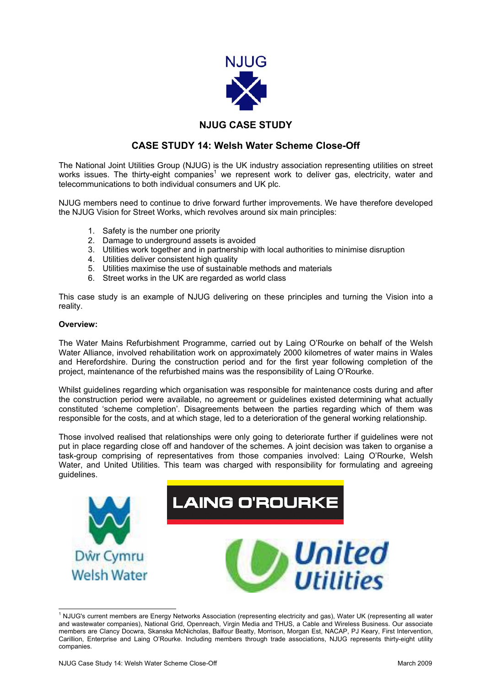

## **NJUG CASE STUDY**

## **CASE STUDY 14: Welsh Water Scheme Close-Off**

The National Joint Utilities Group (NJUG) is the UK industry association representing utilities on street works issues. The thirty-eight companies<sup>[1](#page-0-0)</sup> we represent work to deliver gas, electricity, water and telecommunications to both individual consumers and UK plc.

NJUG members need to continue to drive forward further improvements. We have therefore developed the NJUG Vision for Street Works, which revolves around six main principles:

- 1. Safety is the number one priority
- 2. Damage to underground assets is avoided
- 3. Utilities work together and in partnership with local authorities to minimise disruption
- 4. Utilities deliver consistent high quality
- 5. Utilities maximise the use of sustainable methods and materials
- 6. Street works in the UK are regarded as world class

This case study is an example of NJUG delivering on these principles and turning the Vision into a reality.

## **Overview:**

The Water Mains Refurbishment Programme, carried out by Laing O'Rourke on behalf of the Welsh Water Alliance, involved rehabilitation work on approximately 2000 kilometres of water mains in Wales and Herefordshire. During the construction period and for the first year following completion of the project, maintenance of the refurbished mains was the responsibility of Laing O'Rourke.

Whilst guidelines regarding which organisation was responsible for maintenance costs during and after the construction period were available, no agreement or guidelines existed determining what actually constituted 'scheme completion'. Disagreements between the parties regarding which of them was responsible for the costs, and at which stage, led to a deterioration of the general working relationship.

Those involved realised that relationships were only going to deteriorate further if guidelines were not put in place regarding close off and handover of the schemes. A joint decision was taken to organise a task-group comprising of representatives from those companies involved: Laing O'Rourke, Welsh Water, and United Utilities. This team was charged with responsibility for formulating and agreeing guidelines.

<span id="page-0-0"></span>

 $\frac{1}{1}$ <sup>1</sup> NJUG's current members are Energy Networks Association (representing electricity and gas), Water UK (representing all water and wastewater companies), National Grid, Openreach, Virgin Media and THUS, a Cable and Wireless Business. Our associate members are Clancy Docwra, Skanska McNicholas, Balfour Beatty, Morrison, Morgan Est, NACAP, PJ Keary, First Intervention, Carillion, Enterprise and Laing O'Rourke. Including members through trade associations, NJUG represents thirty-eight utility companies.